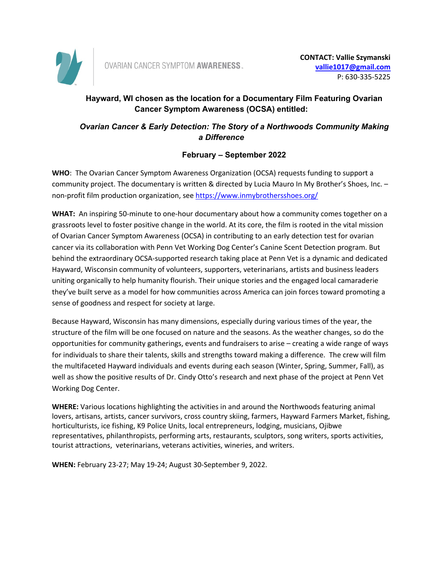

OVARIAN CANCER SYMPTOM AWARENESS.

## **Hayward, WI chosen as the location for a Documentary Film Featuring Ovarian Cancer Symptom Awareness (OCSA) entitled:**

## *Ovarian Cancer & Early Detection: The Story of a Northwoods Community Making a Difference*

## **February – September 2022**

**WHO**: The Ovarian Cancer Symptom Awareness Organization (OCSA) requests funding to support a community project. The documentary is written & directed by Lucia Mauro In My Brother's Shoes, Inc. – non-profit film production organization, see https://www.inmybrothersshoes.org/

**WHAT:** An inspiring 50-minute to one-hour documentary about how a community comes together on a grassroots level to foster positive change in the world. At its core, the film is rooted in the vital mission of Ovarian Cancer Symptom Awareness (OCSA) in contributing to an early detection test for ovarian cancer via its collaboration with Penn Vet Working Dog Center's Canine Scent Detection program. But behind the extraordinary OCSA-supported research taking place at Penn Vet is a dynamic and dedicated Hayward, Wisconsin community of volunteers, supporters, veterinarians, artists and business leaders uniting organically to help humanity flourish. Their unique stories and the engaged local camaraderie they've built serve as a model for how communities across America can join forces toward promoting a sense of goodness and respect for society at large.

Because Hayward, Wisconsin has many dimensions, especially during various times of the year, the structure of the film will be one focused on nature and the seasons. As the weather changes, so do the opportunities for community gatherings, events and fundraisers to arise – creating a wide range of ways for individuals to share their talents, skills and strengths toward making a difference. The crew will film the multifaceted Hayward individuals and events during each season (Winter, Spring, Summer, Fall), as well as show the positive results of Dr. Cindy Otto's research and next phase of the project at Penn Vet Working Dog Center.

**WHERE:** Various locations highlighting the activities in and around the Northwoods featuring animal lovers, artisans, artists, cancer survivors, cross country skiing, farmers, Hayward Farmers Market, fishing, horticulturists, ice fishing, K9 Police Units, local entrepreneurs, lodging, musicians, Ojibwe representatives, philanthropists, performing arts, restaurants, sculptors, song writers, sports activities, tourist attractions, veterinarians, veterans activities, wineries, and writers.

**WHEN:** February 23-27; May 19-24; August 30-September 9, 2022.